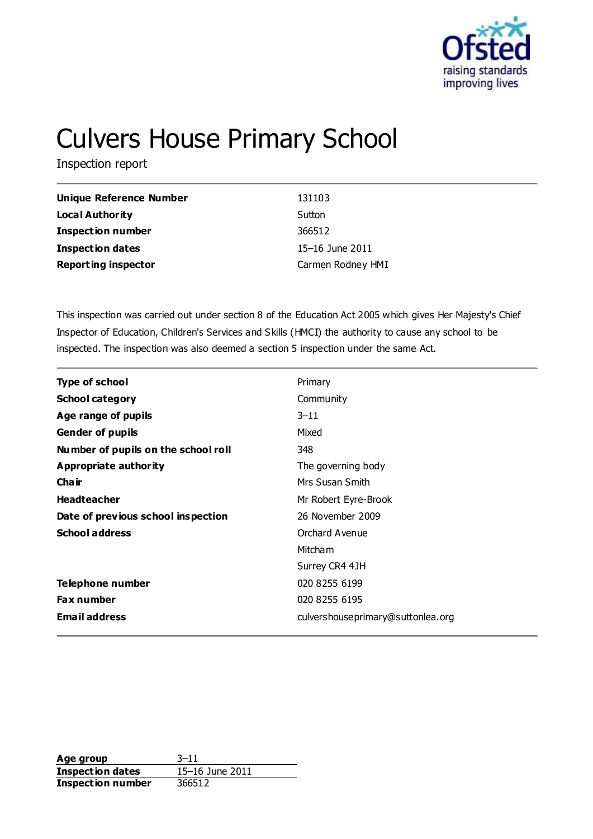

# Culvers House Primary School

Inspection report

| Unique Reference Number    | 131103            |
|----------------------------|-------------------|
| <b>Local Authority</b>     | Sutton            |
| <b>Inspection number</b>   | 366512            |
| <b>Inspection dates</b>    | 15–16 June 2011   |
| <b>Reporting inspector</b> | Carmen Rodney HMI |

This inspection was carried out under section 8 of the Education Act 2005 which gives Her Majesty's Chief Inspector of Education, Children's Services and Skills (HMCI) the authority to cause any school to be inspected. The inspection was also deemed a section 5 inspection under the same Act.

| <b>Type of school</b>               | Primary                            |
|-------------------------------------|------------------------------------|
| <b>School category</b>              | Community                          |
| Age range of pupils                 | $3 - 11$                           |
| <b>Gender of pupils</b>             | Mixed                              |
| Number of pupils on the school roll | 348                                |
| <b>Appropriate authority</b>        | The governing body                 |
| Cha ir                              | Mrs Susan Smith                    |
| <b>Headteacher</b>                  | Mr Robert Eyre-Brook               |
| Date of previous school inspection  | 26 November 2009                   |
| <b>School address</b>               | Orchard Avenue                     |
|                                     | Mitcham                            |
|                                     | Surrey CR4 4JH                     |
| Telephone number                    | 020 8255 6199                      |
| <b>Fax number</b>                   | 020 8255 6195                      |
| <b>Email address</b>                | culvershouse primary@suttonlea.org |

**Age group** 3–11 **Inspection dates** 15–16 June 2011 **Inspection number** 366512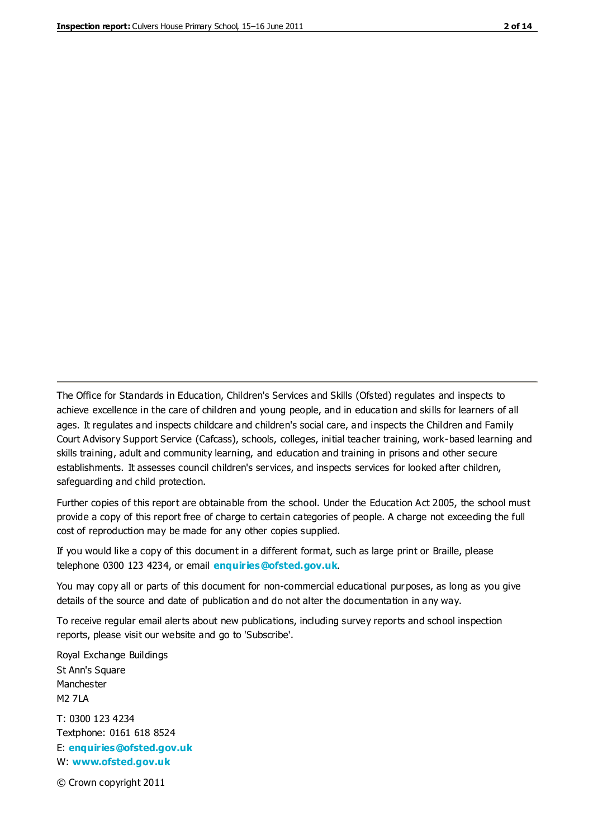The Office for Standards in Education, Children's Services and Skills (Ofsted) regulates and inspects to achieve excellence in the care of children and young people, and in education and skills for learners of all ages. It regulates and inspects childcare and children's social care, and inspects the Children and Family Court Advisory Support Service (Cafcass), schools, colleges, initial teacher training, work-based learning and skills training, adult and community learning, and education and training in prisons and other secure establishments. It assesses council children's services, and inspects services for looked after children, safeguarding and child protection.

Further copies of this report are obtainable from the school. Under the Education Act 2005, the school must provide a copy of this report free of charge to certain categories of people. A charge not exceeding the full cost of reproduction may be made for any other copies supplied.

If you would like a copy of this document in a different format, such as large print or Braille, please telephone 0300 123 4234, or email **[enquiries@ofsted.gov.uk](mailto:enquiries@ofsted.gov.uk)**.

You may copy all or parts of this document for non-commercial educational purposes, as long as you give details of the source and date of publication and do not alter the documentation in any way.

To receive regular email alerts about new publications, including survey reports and school inspection reports, please visit our website and go to 'Subscribe'.

Royal Exchange Buildings St Ann's Square Manchester M2 7LA T: 0300 123 4234 Textphone: 0161 618 8524 E: **[enquiries@ofsted.gov.uk](mailto:enquiries@ofsted.gov.uk)**

W: **[www.ofsted.gov.uk](http://www.ofsted.gov.uk/)**

© Crown copyright 2011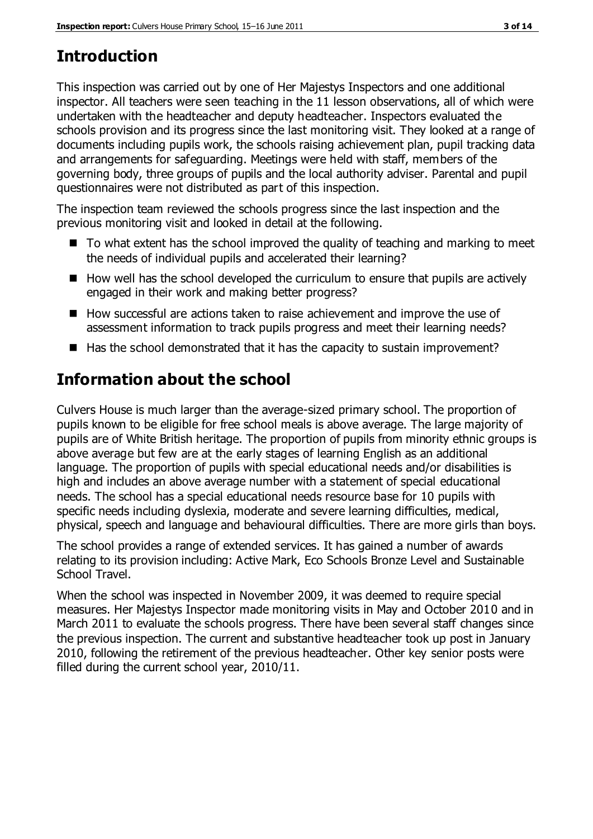### **Introduction**

This inspection was carried out by one of Her Majestys Inspectors and one additional inspector. All teachers were seen teaching in the 11 lesson observations, all of which were undertaken with the headteacher and deputy headteacher. Inspectors evaluated the schools provision and its progress since the last monitoring visit. They looked at a range of documents including pupils work, the schools raising achievement plan, pupil tracking data and arrangements for safeguarding. Meetings were held with staff, members of the governing body, three groups of pupils and the local authority adviser. Parental and pupil questionnaires were not distributed as part of this inspection.

The inspection team reviewed the schools progress since the last inspection and the previous monitoring visit and looked in detail at the following.

- $\blacksquare$  To what extent has the school improved the quality of teaching and marking to meet the needs of individual pupils and accelerated their learning?
- $\blacksquare$  How well has the school developed the curriculum to ensure that pupils are actively engaged in their work and making better progress?
- How successful are actions taken to raise achievement and improve the use of assessment information to track pupils progress and meet their learning needs?
- $\blacksquare$  Has the school demonstrated that it has the capacity to sustain improvement?

## **Information about the school**

Culvers House is much larger than the average-sized primary school. The proportion of pupils known to be eligible for free school meals is above average. The large majority of pupils are of White British heritage. The proportion of pupils from minority ethnic groups is above average but few are at the early stages of learning English as an additional language. The proportion of pupils with special educational needs and/or disabilities is high and includes an above average number with a statement of special educational needs. The school has a special educational needs resource base for 10 pupils with specific needs including dyslexia, moderate and severe learning difficulties, medical, physical, speech and language and behavioural difficulties. There are more girls than boys.

The school provides a range of extended services. It has gained a number of awards relating to its provision including: Active Mark, Eco Schools Bronze Level and Sustainable School Travel.

When the school was inspected in November 2009, it was deemed to require special measures. Her Majestys Inspector made monitoring visits in May and October 2010 and in March 2011 to evaluate the schools progress. There have been several staff changes since the previous inspection. The current and substantive headteacher took up post in January 2010, following the retirement of the previous headteacher. Other key senior posts were filled during the current school year, 2010/11.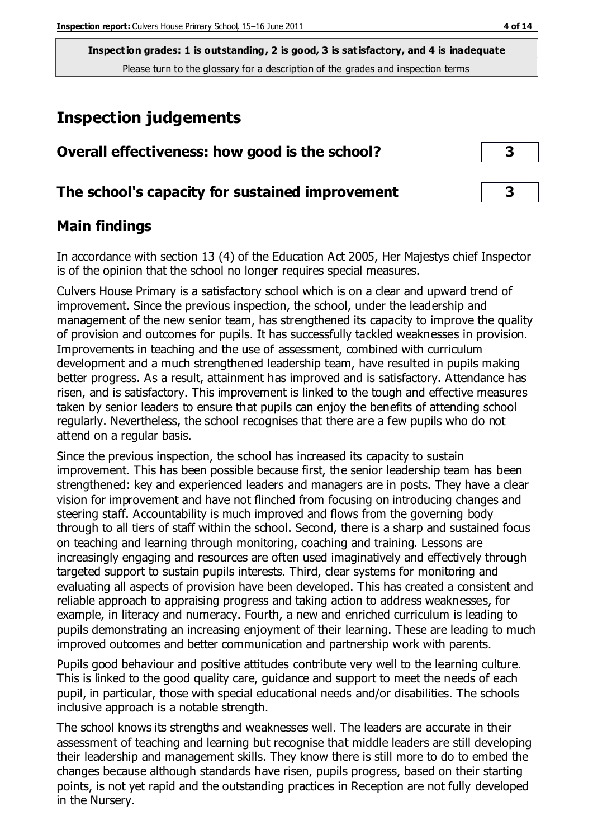### **Inspection judgements**

| Overall effectiveness: how good is the school?  | 3 |
|-------------------------------------------------|---|
| The school's capacity for sustained improvement | 3 |

### **Main findings**

In accordance with section 13 (4) of the Education Act 2005, Her Majestys chief Inspector is of the opinion that the school no longer requires special measures.

Culvers House Primary is a satisfactory school which is on a clear and upward trend of improvement. Since the previous inspection, the school, under the leadership and management of the new senior team, has strengthened its capacity to improve the quality of provision and outcomes for pupils. It has successfully tackled weaknesses in provision. Improvements in teaching and the use of assessment, combined with curriculum development and a much strengthened leadership team, have resulted in pupils making better progress. As a result, attainment has improved and is satisfactory. Attendance has risen, and is satisfactory. This improvement is linked to the tough and effective measures taken by senior leaders to ensure that pupils can enjoy the benefits of attending school regularly. Nevertheless, the school recognises that there are a few pupils who do not attend on a regular basis.

Since the previous inspection, the school has increased its capacity to sustain improvement. This has been possible because first, the senior leadership team has been strengthened: key and experienced leaders and managers are in posts. They have a clear vision for improvement and have not flinched from focusing on introducing changes and steering staff. Accountability is much improved and flows from the governing body through to all tiers of staff within the school. Second, there is a sharp and sustained focus on teaching and learning through monitoring, coaching and training. Lessons are increasingly engaging and resources are often used imaginatively and effectively through targeted support to sustain pupils interests. Third, clear systems for monitoring and evaluating all aspects of provision have been developed. This has created a consistent and reliable approach to appraising progress and taking action to address weaknesses, for example, in literacy and numeracy. Fourth, a new and enriched curriculum is leading to pupils demonstrating an increasing enjoyment of their learning. These are leading to much improved outcomes and better communication and partnership work with parents.

Pupils good behaviour and positive attitudes contribute very well to the learning culture. This is linked to the good quality care, guidance and support to meet the needs of each pupil, in particular, those with special educational needs and/or disabilities. The schools inclusive approach is a notable strength.

The school knows its strengths and weaknesses well. The leaders are accurate in their assessment of teaching and learning but recognise that middle leaders are still developing their leadership and management skills. They know there is still more to do to embed the changes because although standards have risen, pupils progress, based on their starting points, is not yet rapid and the outstanding practices in Reception are not fully developed in the Nursery.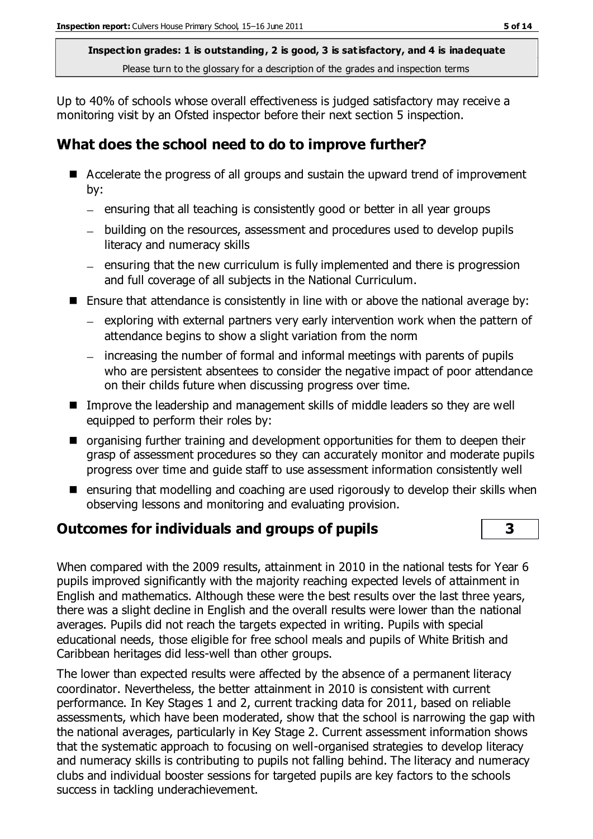Up to 40% of schools whose overall effectiveness is judged satisfactory may receive a monitoring visit by an Ofsted inspector before their next section 5 inspection.

### **What does the school need to do to improve further?**

- Accelerate the progress of all groups and sustain the upward trend of improvement by:
	- $-$  ensuring that all teaching is consistently good or better in all year groups
	- building on the resources, assessment and procedures used to develop pupils literacy and numeracy skills
	- ensuring that the new curriculum is fully implemented and there is progression and full coverage of all subjects in the National Curriculum.
- Ensure that attendance is consistently in line with or above the national average by:
	- $-$  exploring with external partners very early intervention work when the pattern of attendance begins to show a slight variation from the norm
	- increasing the number of formal and informal meetings with parents of pupils who are persistent absentees to consider the negative impact of poor attendance on their childs future when discussing progress over time.
- **IMPROVE THE leadership and management skills of middle leaders so they are well** equipped to perform their roles by:
- $\blacksquare$  organising further training and development opportunities for them to deepen their grasp of assessment procedures so they can accurately monitor and moderate pupils progress over time and guide staff to use assessment information consistently well
- $\blacksquare$  ensuring that modelling and coaching are used rigorously to develop their skills when observing lessons and monitoring and evaluating provision.

### **Outcomes for individuals and groups of pupils 3**

When compared with the 2009 results, attainment in 2010 in the national tests for Year 6 pupils improved significantly with the majority reaching expected levels of attainment in English and mathematics. Although these were the best results over the last three years, there was a slight decline in English and the overall results were lower than the national averages. Pupils did not reach the targets expected in writing. Pupils with special educational needs, those eligible for free school meals and pupils of White British and Caribbean heritages did less-well than other groups.

The lower than expected results were affected by the absence of a permanent literacy coordinator. Nevertheless, the better attainment in 2010 is consistent with current performance. In Key Stages 1 and 2, current tracking data for 2011, based on reliable assessments, which have been moderated, show that the school is narrowing the gap with the national averages, particularly in Key Stage 2. Current assessment information shows that the systematic approach to focusing on well-organised strategies to develop literacy and numeracy skills is contributing to pupils not falling behind. The literacy and numeracy clubs and individual booster sessions for targeted pupils are key factors to the schools success in tackling underachievement.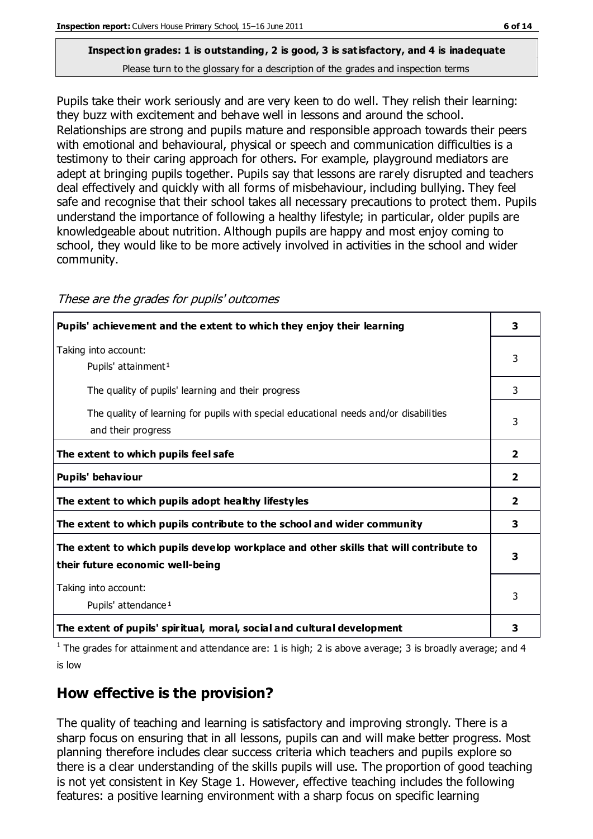Pupils take their work seriously and are very keen to do well. They relish their learning: they buzz with excitement and behave well in lessons and around the school. Relationships are strong and pupils mature and responsible approach towards their peers with emotional and behavioural, physical or speech and communication difficulties is a testimony to their caring approach for others. For example, playground mediators are adept at bringing pupils together. Pupils say that lessons are rarely disrupted and teachers deal effectively and quickly with all forms of misbehaviour, including bullying. They feel safe and recognise that their school takes all necessary precautions to protect them. Pupils understand the importance of following a healthy lifestyle; in particular, older pupils are knowledgeable about nutrition. Although pupils are happy and most enjoy coming to school, they would like to be more actively involved in activities in the school and wider community.

| Pupils' achievement and the extent to which they enjoy their learning                                                     | 3              |
|---------------------------------------------------------------------------------------------------------------------------|----------------|
| Taking into account:<br>Pupils' attainment <sup>1</sup>                                                                   | 3              |
| The quality of pupils' learning and their progress                                                                        | 3              |
| The quality of learning for pupils with special educational needs and/or disabilities<br>and their progress               | 3              |
| The extent to which pupils feel safe                                                                                      | 2              |
| Pupils' behaviour                                                                                                         | $\overline{2}$ |
| The extent to which pupils adopt healthy lifestyles                                                                       | 2              |
| The extent to which pupils contribute to the school and wider community                                                   | 3              |
| The extent to which pupils develop workplace and other skills that will contribute to<br>their future economic well-being | 3              |
| Taking into account:<br>Pupils' attendance <sup>1</sup>                                                                   | 3              |
| The extent of pupils' spiritual, moral, social and cultural development                                                   | 3              |

These are the grades for pupils' outcomes

<sup>1</sup> The grades for attainment and attendance are: 1 is high; 2 is above average; 3 is broadly average; and 4 is low

### **How effective is the provision?**

The quality of teaching and learning is satisfactory and improving strongly. There is a sharp focus on ensuring that in all lessons, pupils can and will make better progress. Most planning therefore includes clear success criteria which teachers and pupils explore so there is a clear understanding of the skills pupils will use. The proportion of good teaching is not yet consistent in Key Stage 1. However, effective teaching includes the following features: a positive learning environment with a sharp focus on specific learning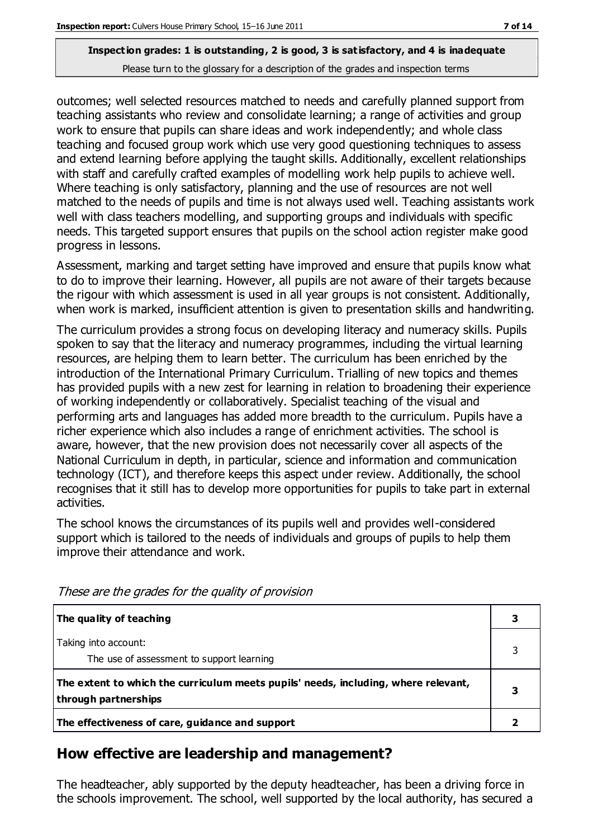outcomes; well selected resources matched to needs and carefully planned support from teaching assistants who review and consolidate learning; a range of activities and group work to ensure that pupils can share ideas and work independently; and whole class teaching and focused group work which use very good questioning techniques to assess and extend learning before applying the taught skills. Additionally, excellent relationships with staff and carefully crafted examples of modelling work help pupils to achieve well. Where teaching is only satisfactory, planning and the use of resources are not well matched to the needs of pupils and time is not always used well. Teaching assistants work well with class teachers modelling, and supporting groups and individuals with specific needs. This targeted support ensures that pupils on the school action register make good progress in lessons.

Assessment, marking and target setting have improved and ensure that pupils know what to do to improve their learning. However, all pupils are not aware of their targets because the rigour with which assessment is used in all year groups is not consistent. Additionally, when work is marked, insufficient attention is given to presentation skills and handwriting.

The curriculum provides a strong focus on developing literacy and numeracy skills. Pupils spoken to say that the literacy and numeracy programmes, including the virtual learning resources, are helping them to learn better. The curriculum has been enriched by the introduction of the International Primary Curriculum. Trialling of new topics and themes has provided pupils with a new zest for learning in relation to broadening their experience of working independently or collaboratively. Specialist teaching of the visual and performing arts and languages has added more breadth to the curriculum. Pupils have a richer experience which also includes a range of enrichment activities. The school is aware, however, that the new provision does not necessarily cover all aspects of the National Curriculum in depth, in particular, science and information and communication technology (ICT), and therefore keeps this aspect under review. Additionally, the school recognises that it still has to develop more opportunities for pupils to take part in external activities.

The school knows the circumstances of its pupils well and provides well-considered support which is tailored to the needs of individuals and groups of pupils to help them improve their attendance and work.

| The quality of teaching                                                                                    |  |
|------------------------------------------------------------------------------------------------------------|--|
| Taking into account:<br>The use of assessment to support learning                                          |  |
| The extent to which the curriculum meets pupils' needs, including, where relevant,<br>through partnerships |  |
| The effectiveness of care, guidance and support                                                            |  |

These are the grades for the quality of provision

### **How effective are leadership and management?**

The headteacher, ably supported by the deputy headteacher, has been a driving force in the schools improvement. The school, well supported by the local authority, has secured a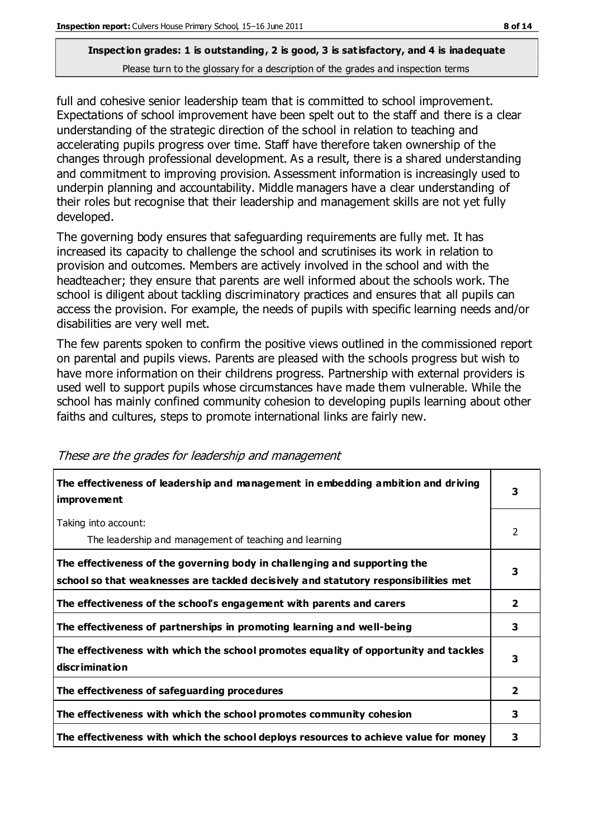full and cohesive senior leadership team that is committed to school improvement. Expectations of school improvement have been spelt out to the staff and there is a clear understanding of the strategic direction of the school in relation to teaching and accelerating pupils progress over time. Staff have therefore taken ownership of the changes through professional development. As a result, there is a shared understanding and commitment to improving provision. Assessment information is increasingly used to underpin planning and accountability. Middle managers have a clear understanding of their roles but recognise that their leadership and management skills are not yet fully developed.

The governing body ensures that safeguarding requirements are fully met. It has increased its capacity to challenge the school and scrutinises its work in relation to provision and outcomes. Members are actively involved in the school and with the headteacher; they ensure that parents are well informed about the schools work. The school is diligent about tackling discriminatory practices and ensures that all pupils can access the provision. For example, the needs of pupils with specific learning needs and/or disabilities are very well met.

The few parents spoken to confirm the positive views outlined in the commissioned report on parental and pupils views. Parents are pleased with the schools progress but wish to have more information on their childrens progress. Partnership with external providers is used well to support pupils whose circumstances have made them vulnerable. While the school has mainly confined community cohesion to developing pupils learning about other faiths and cultures, steps to promote international links are fairly new.

| The effectiveness of leadership and management in embedding ambition and driving<br>improvement                                                                  | 3              |
|------------------------------------------------------------------------------------------------------------------------------------------------------------------|----------------|
| Taking into account:<br>The leadership and management of teaching and learning                                                                                   | 2              |
| The effectiveness of the governing body in challenging and supporting the<br>school so that weaknesses are tackled decisively and statutory responsibilities met | 3              |
| The effectiveness of the school's engagement with parents and carers                                                                                             | $\overline{2}$ |
| The effectiveness of partnerships in promoting learning and well-being                                                                                           | 3              |
| The effectiveness with which the school promotes equality of opportunity and tackles<br>discrimination                                                           | 3              |
| The effectiveness of safeguarding procedures                                                                                                                     | $\overline{2}$ |
| The effectiveness with which the school promotes community cohesion                                                                                              | 3              |
| The effectiveness with which the school deploys resources to achieve value for money                                                                             | з              |

#### These are the grades for leadership and management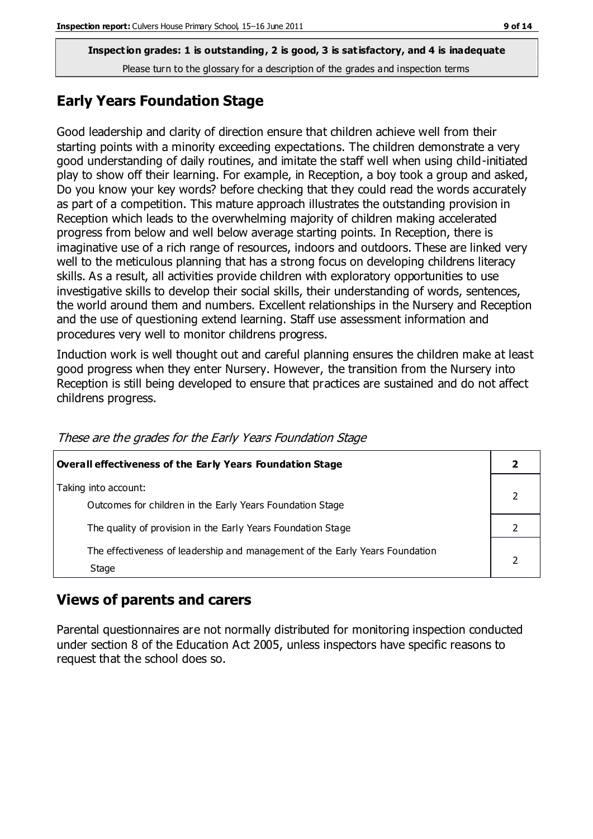### **Early Years Foundation Stage**

Good leadership and clarity of direction ensure that children achieve well from their starting points with a minority exceeding expectations. The children demonstrate a very good understanding of daily routines, and imitate the staff well when using child-initiated play to show off their learning. For example, in Reception, a boy took a group and asked, Do you know your key words? before checking that they could read the words accurately as part of a competition. This mature approach illustrates the outstanding provision in Reception which leads to the overwhelming majority of children making accelerated progress from below and well below average starting points. In Reception, there is imaginative use of a rich range of resources, indoors and outdoors. These are linked very well to the meticulous planning that has a strong focus on developing childrens literacy skills. As a result, all activities provide children with exploratory opportunities to use investigative skills to develop their social skills, their understanding of words, sentences, the world around them and numbers. Excellent relationships in the Nursery and Reception and the use of questioning extend learning. Staff use assessment information and procedures very well to monitor childrens progress.

Induction work is well thought out and careful planning ensures the children make at least good progress when they enter Nursery. However, the transition from the Nursery into Reception is still being developed to ensure that practices are sustained and do not affect childrens progress.

| Overall effectiveness of the Early Years Foundation Stage                             |  |
|---------------------------------------------------------------------------------------|--|
| Taking into account:<br>Outcomes for children in the Early Years Foundation Stage     |  |
| The quality of provision in the Early Years Foundation Stage                          |  |
| The effectiveness of leadership and management of the Early Years Foundation<br>Stage |  |

These are the grades for the Early Years Foundation Stage

#### **Views of parents and carers**

Parental questionnaires are not normally distributed for monitoring inspection conducted under section 8 of the Education Act 2005, unless inspectors have specific reasons to request that the school does so.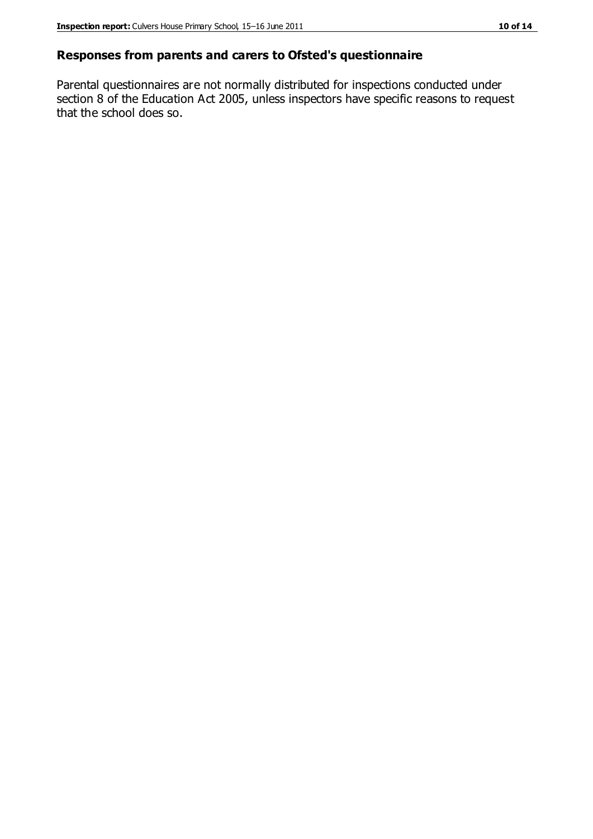#### **Responses from parents and carers to Ofsted's questionnaire**

Parental questionnaires are not normally distributed for inspections conducted under section 8 of the Education Act 2005, unless inspectors have specific reasons to request that the school does so.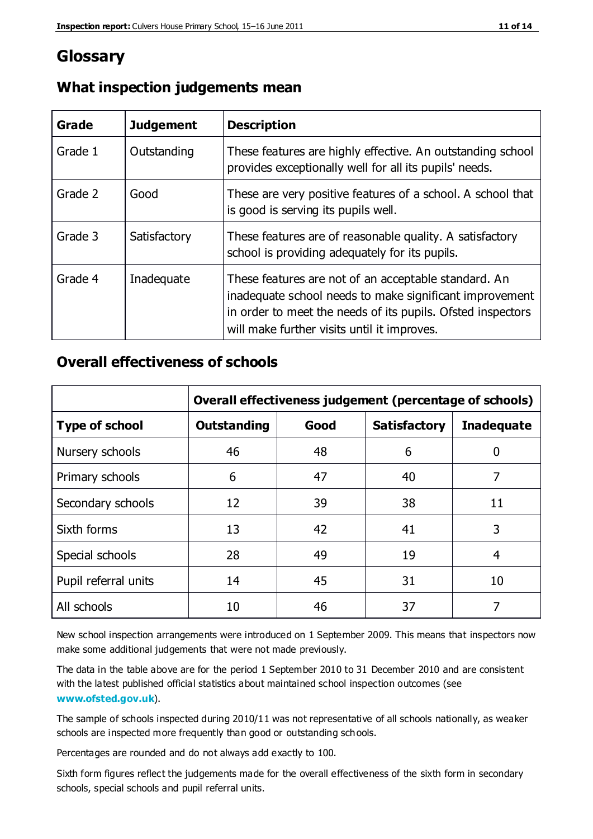### **Glossary**

| Grade   | <b>Judgement</b> | <b>Description</b>                                                                                                                                                                                                            |
|---------|------------------|-------------------------------------------------------------------------------------------------------------------------------------------------------------------------------------------------------------------------------|
| Grade 1 | Outstanding      | These features are highly effective. An outstanding school<br>provides exceptionally well for all its pupils' needs.                                                                                                          |
| Grade 2 | Good             | These are very positive features of a school. A school that<br>is good is serving its pupils well.                                                                                                                            |
| Grade 3 | Satisfactory     | These features are of reasonable quality. A satisfactory<br>school is providing adequately for its pupils.                                                                                                                    |
| Grade 4 | Inadequate       | These features are not of an acceptable standard. An<br>inadequate school needs to make significant improvement<br>in order to meet the needs of its pupils. Ofsted inspectors<br>will make further visits until it improves. |

### **What inspection judgements mean**

### **Overall effectiveness of schools**

|                       | Overall effectiveness judgement (percentage of schools) |      |                     |                   |
|-----------------------|---------------------------------------------------------|------|---------------------|-------------------|
| <b>Type of school</b> | <b>Outstanding</b>                                      | Good | <b>Satisfactory</b> | <b>Inadequate</b> |
| Nursery schools       | 46                                                      | 48   | 6                   |                   |
| Primary schools       | 6                                                       | 47   | 40                  | 7                 |
| Secondary schools     | 12                                                      | 39   | 38                  | 11                |
| Sixth forms           | 13                                                      | 42   | 41                  | 3                 |
| Special schools       | 28                                                      | 49   | 19                  | 4                 |
| Pupil referral units  | 14                                                      | 45   | 31                  | 10                |
| All schools           | 10                                                      | 46   | 37                  |                   |

New school inspection arrangements were introduced on 1 September 2009. This means that inspectors now make some additional judgements that were not made previously.

The data in the table above are for the period 1 September 2010 to 31 December 2010 and are consistent with the latest published official statistics about maintained school inspection outcomes (see **[www.ofsted.gov.uk](http://www.ofsted.gov.uk/)**).

The sample of schools inspected during 2010/11 was not representative of all schools nationally, as weaker schools are inspected more frequently than good or outstanding schools.

Percentages are rounded and do not always add exactly to 100.

Sixth form figures reflect the judgements made for the overall effectiveness of the sixth form in secondary schools, special schools and pupil referral units.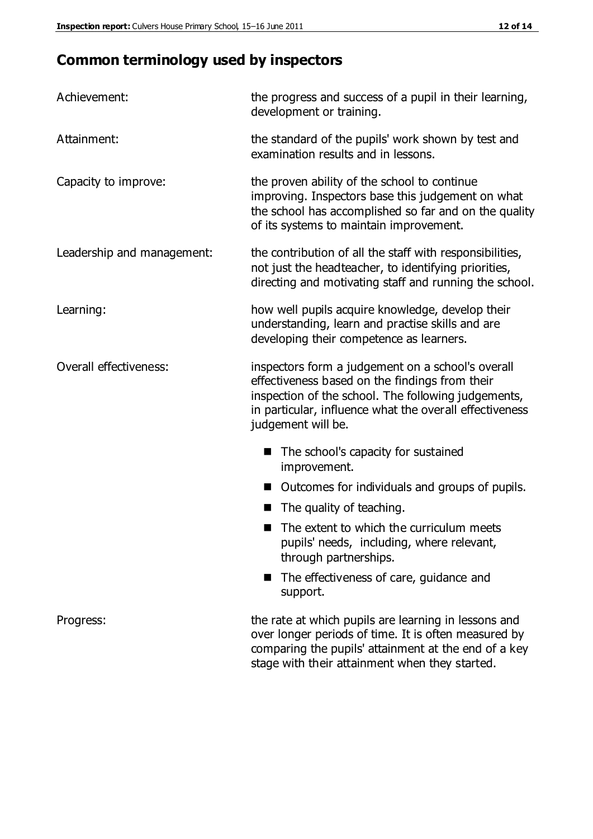### **Common terminology used by inspectors**

| Achievement:               | the progress and success of a pupil in their learning,<br>development or training.                                                                                                                                                          |  |
|----------------------------|---------------------------------------------------------------------------------------------------------------------------------------------------------------------------------------------------------------------------------------------|--|
| Attainment:                | the standard of the pupils' work shown by test and<br>examination results and in lessons.                                                                                                                                                   |  |
| Capacity to improve:       | the proven ability of the school to continue<br>improving. Inspectors base this judgement on what<br>the school has accomplished so far and on the quality<br>of its systems to maintain improvement.                                       |  |
| Leadership and management: | the contribution of all the staff with responsibilities,<br>not just the headteacher, to identifying priorities,<br>directing and motivating staff and running the school.                                                                  |  |
| Learning:                  | how well pupils acquire knowledge, develop their<br>understanding, learn and practise skills and are<br>developing their competence as learners.                                                                                            |  |
| Overall effectiveness:     | inspectors form a judgement on a school's overall<br>effectiveness based on the findings from their<br>inspection of the school. The following judgements,<br>in particular, influence what the overall effectiveness<br>judgement will be. |  |
|                            | The school's capacity for sustained<br>improvement.                                                                                                                                                                                         |  |
|                            | Outcomes for individuals and groups of pupils.                                                                                                                                                                                              |  |
|                            | The quality of teaching.                                                                                                                                                                                                                    |  |
|                            | The extent to which the curriculum meets<br>pupils' needs, including, where relevant,<br>through partnerships.                                                                                                                              |  |
|                            | The effectiveness of care, guidance and<br>support.                                                                                                                                                                                         |  |
| Progress:                  | the rate at which pupils are learning in lessons and<br>over longer periods of time. It is often measured by<br>comparing the pupils' attainment at the end of a key                                                                        |  |

stage with their attainment when they started.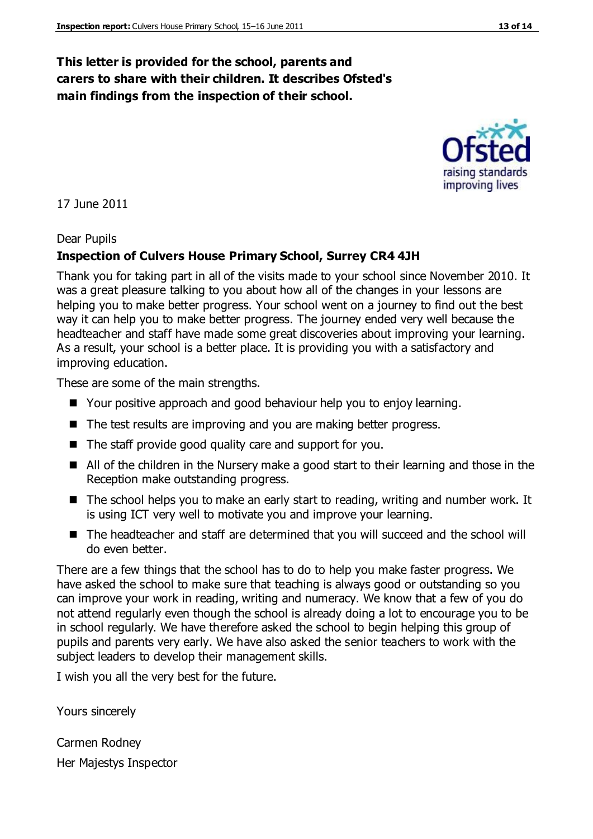#### **This letter is provided for the school, parents and carers to share with their children. It describes Ofsted's main findings from the inspection of their school.**

#### 17 June 2011

#### Dear Pupils

#### **Inspection of Culvers House Primary School, Surrey CR4 4JH**

Thank you for taking part in all of the visits made to your school since November 2010. It was a great pleasure talking to you about how all of the changes in your lessons are helping you to make better progress. Your school went on a journey to find out the best way it can help you to make better progress. The journey ended very well because the headteacher and staff have made some great discoveries about improving your learning. As a result, your school is a better place. It is providing you with a satisfactory and improving education.

These are some of the main strengths.

- Your positive approach and good behaviour help you to enjoy learning.
- The test results are improving and you are making better progress.
- The staff provide good quality care and support for you.
- All of the children in the Nursery make a good start to their learning and those in the Reception make outstanding progress.
- The school helps you to make an early start to reading, writing and number work. It is using ICT very well to motivate you and improve your learning.
- The headteacher and staff are determined that you will succeed and the school will do even better.

There are a few things that the school has to do to help you make faster progress. We have asked the school to make sure that teaching is always good or outstanding so you can improve your work in reading, writing and numeracy. We know that a few of you do not attend regularly even though the school is already doing a lot to encourage you to be in school regularly. We have therefore asked the school to begin helping this group of pupils and parents very early. We have also asked the senior teachers to work with the subject leaders to develop their management skills.

I wish you all the very best for the future.

Yours sincerely

Carmen Rodney Her Majestys Inspector



raising standards improving lives